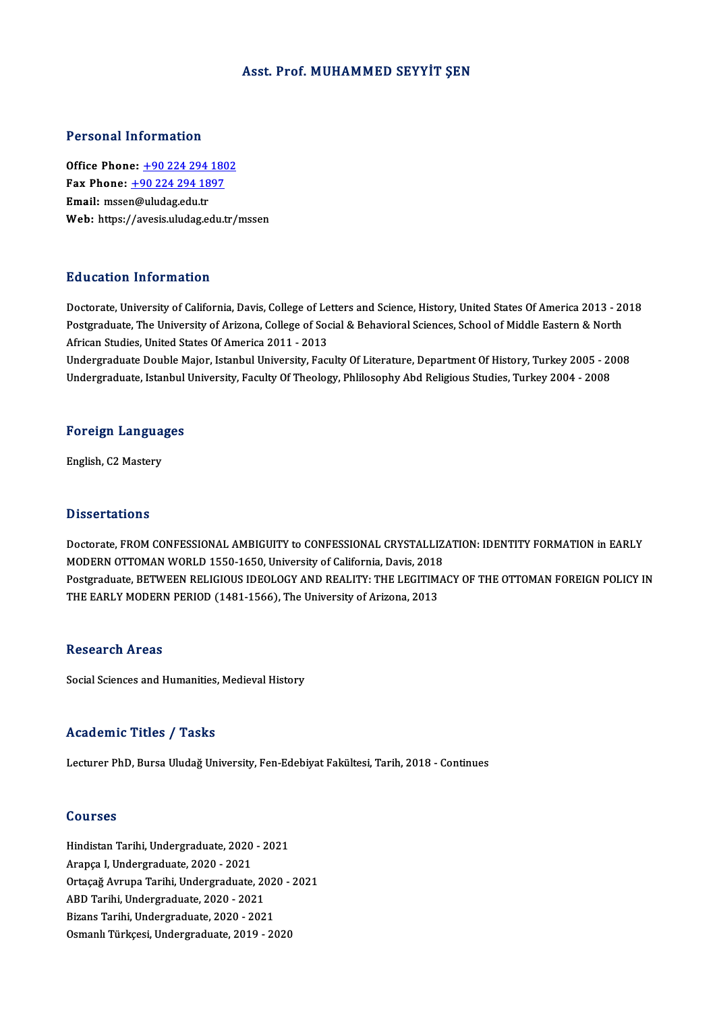### Asst. Prof. MUHAMMED SEYYİT ŞEN

### Personal Information

**Personal Information<br>Office Phone: +90 224 294 1802<br>Fax Phone: +90 224 294 1997** 1 0100111 11101 1111011<br>
0ffice Phone: <u>+90 224 294 180</u><br>
Fax Phone: <u>+90 224 294 1897</u> Office Phone: <u>+90 224 294</u><br>Fax Phone: <u>+90 224 294 18</u><br>Email: msse[n@uludag.edu.tr](tel:+90 224 294 1897) Fax Phone:  $\pm$ 90 224 294 1897<br>Email: mssen@uludag.edu.tr<br>Web: https://avesis.uludag.edu.tr/mssen

## Education Information

Education Information<br>Doctorate, University of California, Davis, College of Letters and Science, History, United States Of America 2013 - 2018<br>Postareduate The University of Arizona, College of Social & Bohavioral Science Pula decession Timber interest.<br>Doctorate, University of California, Davis, College of Letters and Science, History, United States Of America 2013 - 2(<br>Postgraduate, The University of Arizona, College of Social & Behaviora Doctorate, University of California, Davis, College of Le<br>Postgraduate, The University of Arizona, College of Soc<br>African Studies, United States Of America 2011 - 2013<br>Undergraduate Double Major, Istanbul University, Fact Postgraduate, The University of Arizona, College of Social & Behavioral Sciences, School of Middle Eastern & North<br>African Studies, United States Of America 2011 - 2013<br>Undergraduate Double Major, Istanbul University, Facu

African Studies, United States Of America 2011 - 2013<br>Undergraduate Double Major, Istanbul University, Faculty Of Literature, Department Of History, Turkey 2005 - 2<br>Undergraduate, Istanbul University, Faculty Of Theology,

## <sub>ondergraduate, istanbul</sub><br>Foreign Languages F<mark>oreign Langua</mark><br>English, C2 Mastery

English, C2 Mastery<br>Dissertations

Dissertations<br>Doctorate, FROM CONFESSIONAL AMBIGUITY to CONFESSIONAL CRYSTALLIZATION: IDENTITY FORMATION in EARLY<br>MODERN OTTOMAN WORLD 1550 1650, University of California Davis 2018 Dissol deligins<br>Doctorate, FROM CONFESSIONAL AMBIGUITY to CONFESSIONAL CRYSTALLIZ<br>MODERN OTTOMAN WORLD 1550-1650, University of California, Davis, 2018<br>Postavaduate PETWEEN PELICIOUS IDEOLOCY AND PEALITY. THE LECITIMA Doctorate, FROM CONFESSIONAL AMBIGUITY to CONFESSIONAL CRYSTALLIZATION: IDENTITY FORMATION in EARLY<br>MODERN OTTOMAN WORLD 1550-1650, University of California, Davis, 2018<br>Postgraduate, BETWEEN RELIGIOUS IDEOLOGY AND REALITY MODERN OTTOMAN WORLD 1550-1650, University of California, Davis, 2018<br>Postgraduate, BETWEEN RELIGIOUS IDEOLOGY AND REALITY: THE LEGITIM.<br>THE EARLY MODERN PERIOD (1481-1566), The University of Arizona, 2013 THE EARLY MODERN PERIOD (1481-1566), The University of Arizona, 2013<br>Research Areas

Social Sciences and Humanities, Medieval History

#### Academic Titles / Tasks

Lecturer PhD, Bursa Uludağ University, Fen-Edebiyat Fakültesi, Tarih, 2018 - Continues

#### Courses

Courses<br>Hindistan Tarihi, Undergraduate, 2020 - 2021<br>Aranga L.Undergraduate, 2020 - 2021 aourses<br>Hindistan Tarihi, Undergraduate, 2020<br>Arapça I, Undergraduate, 2020 - 2021<br>Ortacež Armuna Tarihi, Undergraduate Arapça I, Undergraduate, 2020 - 2021<br>Ortaçağ Avrupa Tarihi, Undergraduate, 2020 - 2021 Arapça I, Undergraduate, 2020 - 2021<br>Ortaçağ Avrupa Tarihi, Undergraduate, 20<br>ABD Tarihi, Undergraduate, 2020 - 2021<br>Bizana Tarihi, Undergraduate, 2020 - 2021 Ortaçağ Avrupa Tarihi, Undergraduate, 202<br>ABD Tarihi, Undergraduate, 2020 - 2021<br>Bizans Tarihi, Undergraduate, 2020 - 2021<br>Osmanlı Türksesi, Undergraduate, 2019 - 20 Bizans Tarihi, Undergraduate, 2020 - 2021<br>Osmanlı Türkçesi, Undergraduate, 2019 - 2020